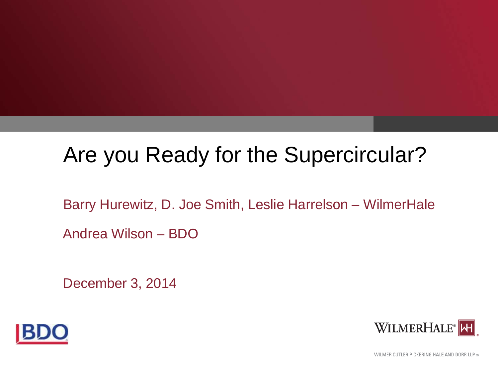# Are you Ready for the Supercircular?

Barry Hurewitz, D. Joe Smith, Leslie Harrelson – WilmerHale Andrea Wilson – BDO

December 3, 2014





WILMER CUTLER PICKERING HALE AND DORR LLP ®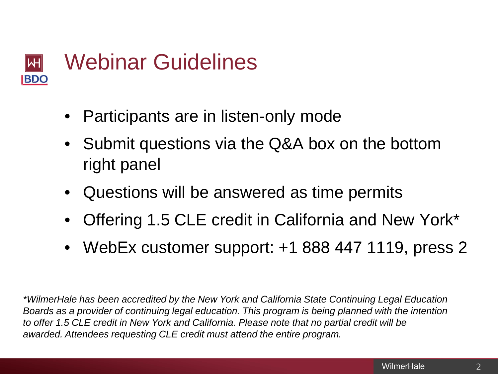

- Participants are in listen-only mode
- Submit questions via the Q&A box on the bottom right panel
- Questions will be answered as time permits
- Offering 1.5 CLE credit in California and New York\*
- WebEx customer support: +1 888 447 1119, press 2

*\*WilmerHale has been accredited by the New York and California State Continuing Legal Education Boards as a provider of continuing legal education. This program is being planned with the intention to offer 1.5 CLE credit in New York and California. Please note that no partial credit will be awarded. Attendees requesting CLE credit must attend the entire program.*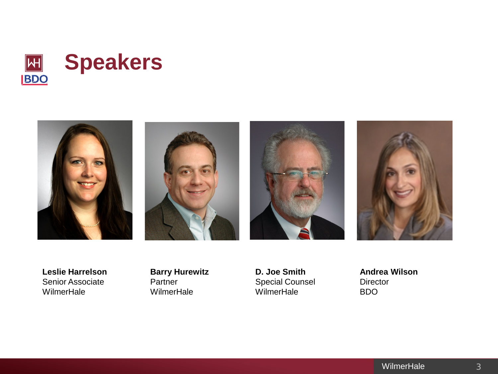



**Leslie Harrelson** Senior Associate **WilmerHale** 

**Barry Hurewitz**  Partner **WilmerHale** 

**D. Joe Smith** Special Counsel WilmerHale

**Andrea Wilson Director** BDO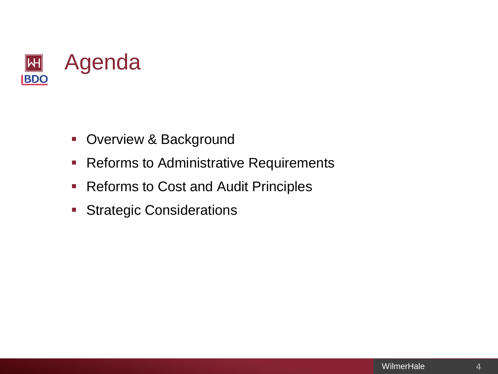

- **-** Overview & Background
- **Reforms to Administrative Requirements**
- **Reforms to Cost and Audit Principles**
- **Strategic Considerations**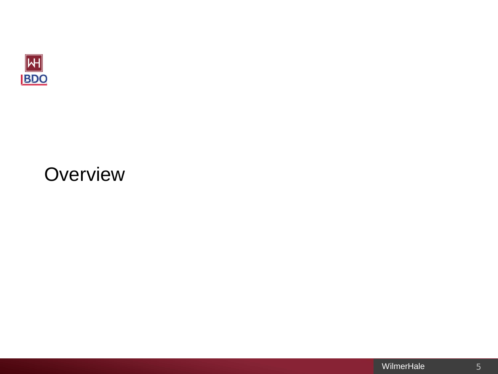

# **Overview**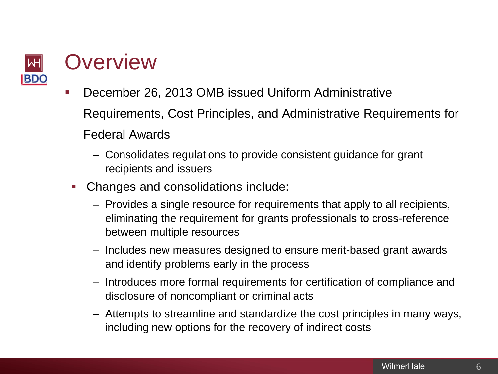

# **Overview**

- December 26, 2013 OMB issued Uniform Administrative Requirements, Cost Principles, and Administrative Requirements for Federal Awards
	- Consolidates regulations to provide consistent guidance for grant recipients and issuers
- Changes and consolidations include:
	- Provides a single resource for requirements that apply to all recipients, eliminating the requirement for grants professionals to cross-reference between multiple resources
	- Includes new measures designed to ensure merit-based grant awards and identify problems early in the process
	- Introduces more formal requirements for certification of compliance and disclosure of noncompliant or criminal acts
	- Attempts to streamline and standardize the cost principles in many ways, including new options for the recovery of indirect costs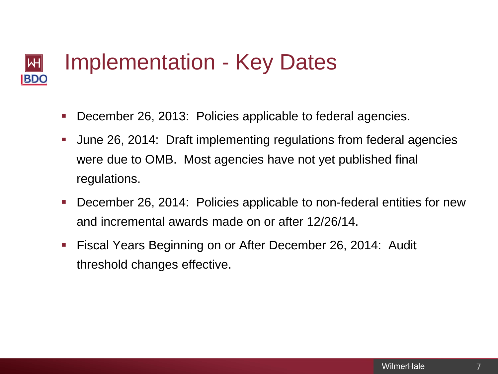#### Implementation - Key Dates  $|\mathsf{H}|$ **BDO**

- December 26, 2013: Policies applicable to federal agencies.
- June 26, 2014: Draft implementing regulations from federal agencies were due to OMB. Most agencies have not yet published final regulations.
- December 26, 2014: Policies applicable to non-federal entities for new and incremental awards made on or after 12/26/14.
- Fiscal Years Beginning on or After December 26, 2014: Audit threshold changes effective.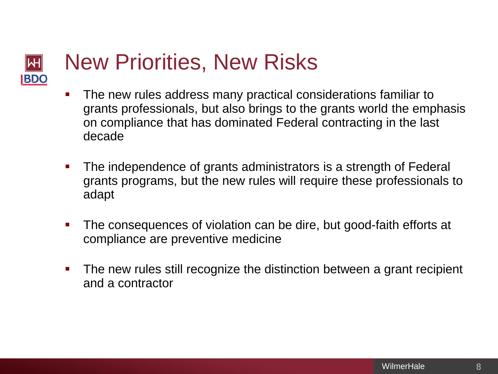#### New Priorities, New Risks  $|\!|\mathsf{H}|\!|$ **BDC**

- The new rules address many practical considerations familiar to grants professionals, but also brings to the grants world the emphasis on compliance that has dominated Federal contracting in the last decade
- The independence of grants administrators is a strength of Federal grants programs, but the new rules will require these professionals to adapt
- The consequences of violation can be dire, but good-faith efforts at compliance are preventive medicine
- The new rules still recognize the distinction between a grant recipient and a contractor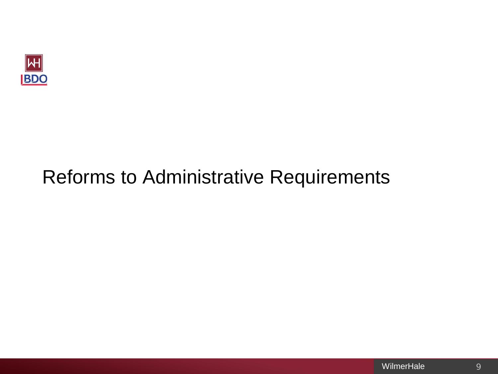

# Reforms to Administrative Requirements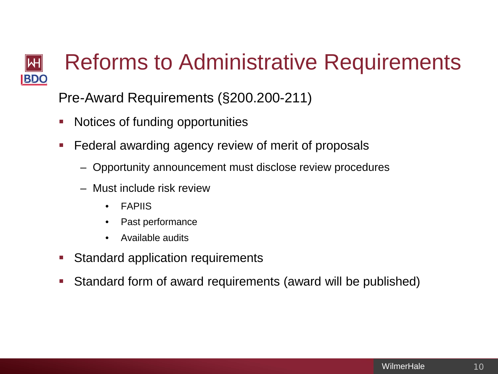#### Reforms to Administrative Requirements **WH BDO**

Pre-Award Requirements (§200.200-211)

- Notices of funding opportunities
- Federal awarding agency review of merit of proposals
	- Opportunity announcement must disclose review procedures
	- Must include risk review
		- **FAPIIS**
		- Past performance
		- Available audits
- Standard application requirements
- Standard form of award requirements (award will be published)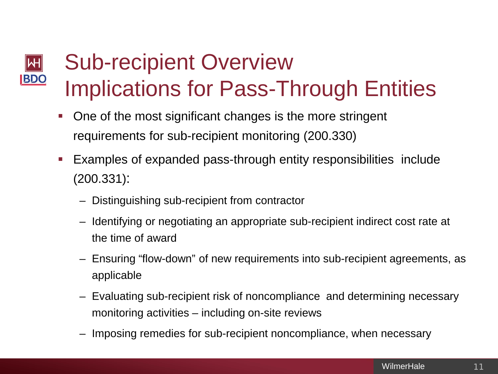### Sub-recipient Overview  $\left|\mathsf{H}\right|$ **BDO** Implications for Pass-Through Entities

- One of the most significant changes is the more stringent requirements for sub-recipient monitoring (200.330)
- Examples of expanded pass-through entity responsibilities include (200.331):
	- Distinguishing sub-recipient from contractor
	- Identifying or negotiating an appropriate sub-recipient indirect cost rate at the time of award
	- Ensuring "flow-down" of new requirements into sub-recipient agreements, as applicable
	- Evaluating sub-recipient risk of noncompliance and determining necessary monitoring activities – including on-site reviews
	- Imposing remedies for sub-recipient noncompliance, when necessary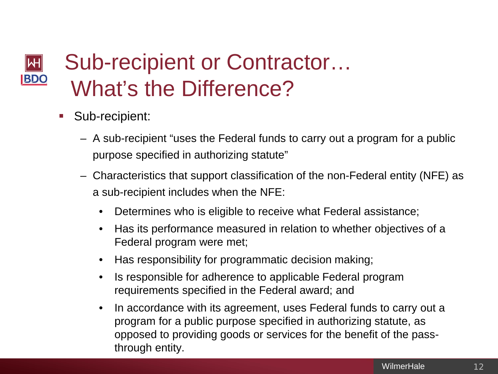### Sub-recipient or Contractor…  $\blacktriangleright$ **BDO** What's the Difference?

- Sub-recipient:
	- A sub-recipient "uses the Federal funds to carry out a program for a public purpose specified in authorizing statute"
	- Characteristics that support classification of the non-Federal entity (NFE) as a sub-recipient includes when the NFE:
		- Determines who is eligible to receive what Federal assistance;
		- Has its performance measured in relation to whether objectives of a Federal program were met;
		- Has responsibility for programmatic decision making;
		- Is responsible for adherence to applicable Federal program requirements specified in the Federal award; and
		- In accordance with its agreement, uses Federal funds to carry out a program for a public purpose specified in authorizing statute, as opposed to providing goods or services for the benefit of the passthrough entity.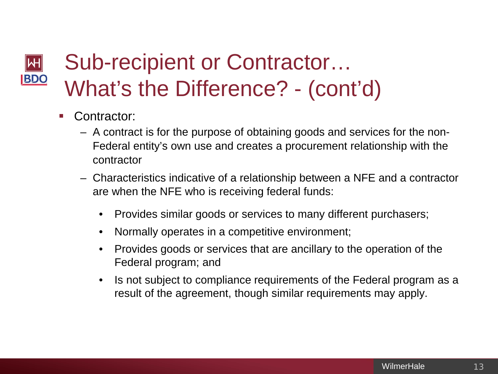#### Sub-recipient or Contractor…  $|\mathsf{H}|$ **BDO** What's the Difference? - (cont'd)

- Contractor:
	- A contract is for the purpose of obtaining goods and services for the non-Federal entity's own use and creates a procurement relationship with the contractor
	- Characteristics indicative of a relationship between a NFE and a contractor are when the NFE who is receiving federal funds:
		- Provides similar goods or services to many different purchasers;
		- Normally operates in a competitive environment;
		- Provides goods or services that are ancillary to the operation of the Federal program; and
		- Is not subject to compliance requirements of the Federal program as a result of the agreement, though similar requirements may apply.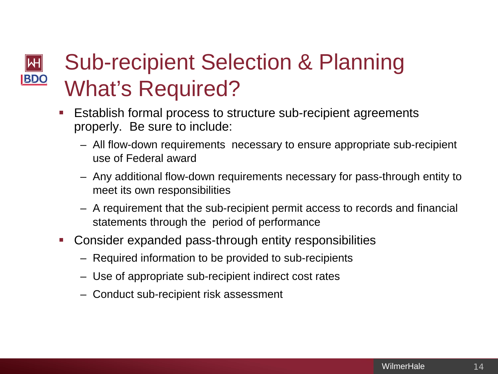### Sub-recipient Selection & Planning  $|\mathsf{H}|$ **BDO** What's Required?

- Establish formal process to structure sub-recipient agreements properly. Be sure to include:
	- All flow-down requirements necessary to ensure appropriate sub-recipient use of Federal award
	- Any additional flow-down requirements necessary for pass-through entity to meet its own responsibilities
	- A requirement that the sub-recipient permit access to records and financial statements through the period of performance
- Consider expanded pass-through entity responsibilities
	- Required information to be provided to sub-recipients
	- Use of appropriate sub-recipient indirect cost rates
	- Conduct sub-recipient risk assessment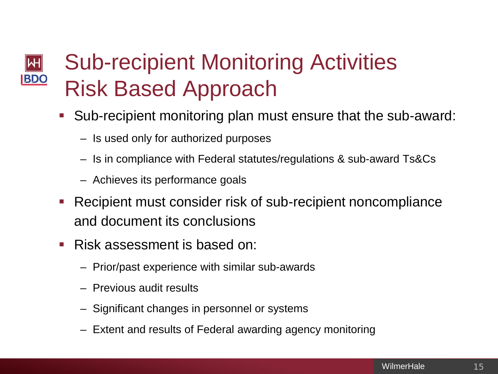### Sub-recipient Monitoring Activities  $\left|\mathsf{H}\right|$ **BDO** Risk Based Approach

- Sub-recipient monitoring plan must ensure that the sub-award:
	- Is used only for authorized purposes
	- Is in compliance with Federal statutes/regulations & sub-award Ts&Cs
	- Achieves its performance goals
- Recipient must consider risk of sub-recipient noncompliance and document its conclusions
- Risk assessment is based on:
	- Prior/past experience with similar sub-awards
	- Previous audit results
	- Significant changes in personnel or systems
	- Extent and results of Federal awarding agency monitoring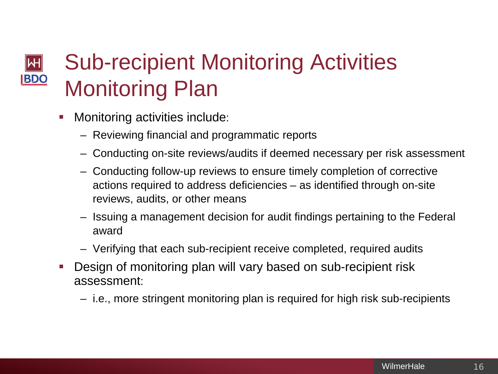### Sub-recipient Monitoring Activities  $\left\vert \mathsf{H}\right\vert$ **BDO** Monitoring Plan

- Monitoring activities include:
	- Reviewing financial and programmatic reports
	- Conducting on-site reviews/audits if deemed necessary per risk assessment
	- Conducting follow-up reviews to ensure timely completion of corrective actions required to address deficiencies – as identified through on-site reviews, audits, or other means
	- Issuing a management decision for audit findings pertaining to the Federal award
	- Verifying that each sub-recipient receive completed, required audits
- Design of monitoring plan will vary based on sub-recipient risk assessment:
	- i.e., more stringent monitoring plan is required for high risk sub-recipients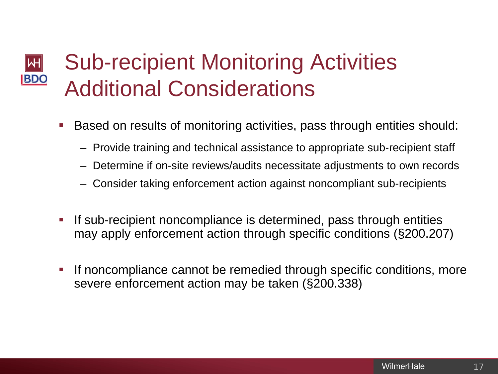### Sub-recipient Monitoring Activities  $\blacktriangleright$ **BDO** Additional Considerations

- Based on results of monitoring activities, pass through entities should:
	- Provide training and technical assistance to appropriate sub-recipient staff
	- Determine if on-site reviews/audits necessitate adjustments to own records
	- Consider taking enforcement action against noncompliant sub-recipients
- If sub-recipient noncompliance is determined, pass through entities may apply enforcement action through specific conditions (§200.207)
- If noncompliance cannot be remedied through specific conditions, more severe enforcement action may be taken (§200.338)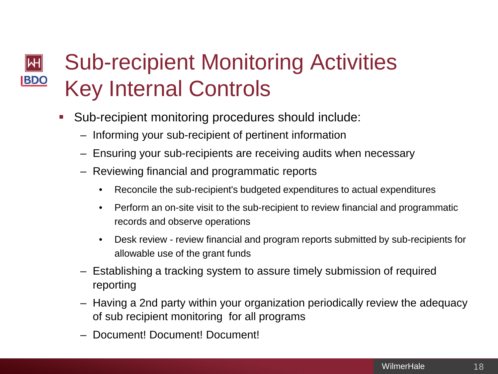### Sub-recipient Monitoring Activities  $\left\vert \mathsf{H}\right\vert$ **BDO** Key Internal Controls

- Sub-recipient monitoring procedures should include:
	- Informing your sub-recipient of pertinent information
	- Ensuring your sub-recipients are receiving audits when necessary
	- Reviewing financial and programmatic reports
		- Reconcile the sub-recipient's budgeted expenditures to actual expenditures
		- Perform an on-site visit to the sub-recipient to review financial and programmatic records and observe operations
		- Desk review review financial and program reports submitted by sub-recipients for allowable use of the grant funds
	- Establishing a tracking system to assure timely submission of required reporting
	- Having a 2nd party within your organization periodically review the adequacy of sub recipient monitoring for all programs
	- Document! Document! Document!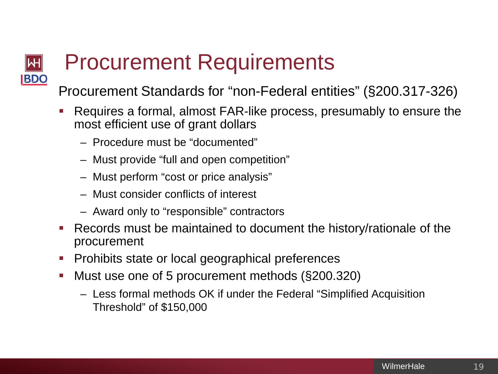# Procurement Requirements

Procurement Standards for "non-Federal entities" (§200.317-326)

- Requires a formal, almost FAR-like process, presumably to ensure the most efficient use of grant dollars
	- Procedure must be "documented"

WН

**BDC** 

- Must provide "full and open competition"
- Must perform "cost or price analysis"
- Must consider conflicts of interest
- Award only to "responsible" contractors
- Records must be maintained to document the history/rationale of the procurement
- Prohibits state or local geographical preferences
- Must use one of 5 procurement methods (§200.320)
	- Less formal methods OK if under the Federal "Simplified Acquisition Threshold" of \$150,000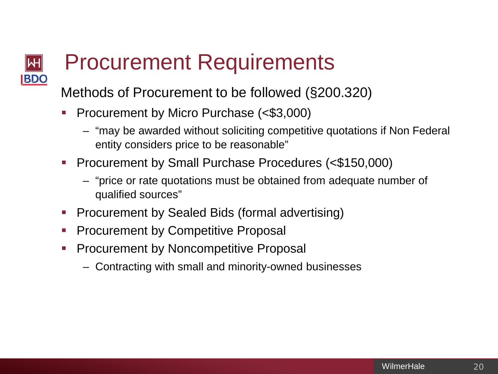## Procurement Requirements **BDC**

Methods of Procurement to be followed (§200.320)

- **Procurement by Micro Purchase (<\$3,000)** 
	- "may be awarded without soliciting competitive quotations if Non Federal entity considers price to be reasonable"
- **Procurement by Small Purchase Procedures (<\$150,000)** 
	- "price or rate quotations must be obtained from adequate number of qualified sources"
- **Procurement by Sealed Bids (formal advertising)**
- **Procurement by Competitive Proposal**
- **Procurement by Noncompetitive Proposal** 
	- Contracting with small and minority-owned businesses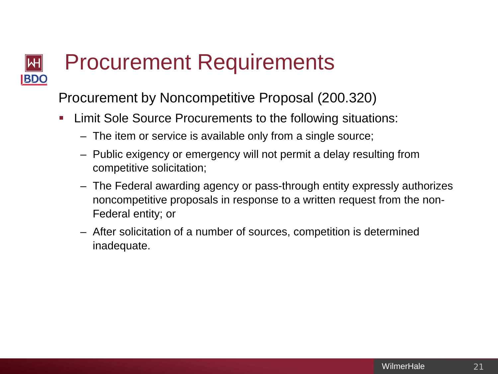#### Procurement Requirements ⊮ **BDO**

Procurement by Noncompetitive Proposal (200.320)

- Limit Sole Source Procurements to the following situations:
	- The item or service is available only from a single source;
	- Public exigency or emergency will not permit a delay resulting from competitive solicitation;
	- The Federal awarding agency or pass-through entity expressly authorizes noncompetitive proposals in response to a written request from the non-Federal entity; or
	- After solicitation of a number of sources, competition is determined inadequate.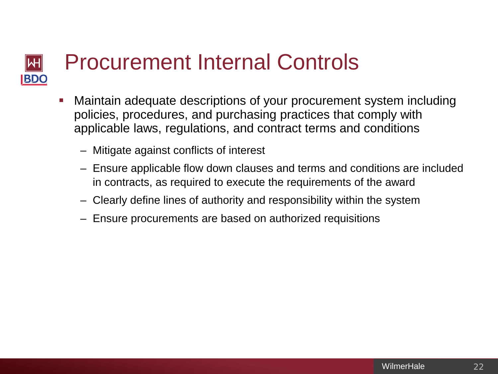#### Procurement Internal Controls ⊮H **BDO**

- Maintain adequate descriptions of your procurement system including policies, procedures, and purchasing practices that comply with applicable laws, regulations, and contract terms and conditions
	- Mitigate against conflicts of interest
	- Ensure applicable flow down clauses and terms and conditions are included in contracts, as required to execute the requirements of the award
	- Clearly define lines of authority and responsibility within the system
	- Ensure procurements are based on authorized requisitions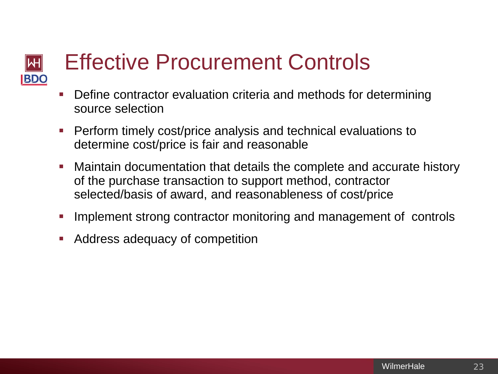#### Effective Procurement Controls ⊮ **BDO**

- Define contractor evaluation criteria and methods for determining source selection
- **Perform timely cost/price analysis and technical evaluations to** determine cost/price is fair and reasonable
- Maintain documentation that details the complete and accurate history of the purchase transaction to support method, contractor selected/basis of award, and reasonableness of cost/price
- Implement strong contractor monitoring and management of controls
- Address adequacy of competition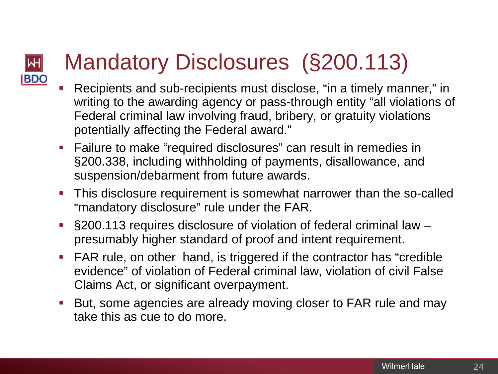## Mandatory Disclosures (§200.113) **BDO**

⊮

- Recipients and sub-recipients must disclose, "in a timely manner," in writing to the awarding agency or pass-through entity "all violations of Federal criminal law involving fraud, bribery, or gratuity violations potentially affecting the Federal award."
- Failure to make "required disclosures" can result in remedies in §200.338, including withholding of payments, disallowance, and suspension/debarment from future awards.
- This disclosure requirement is somewhat narrower than the so-called "mandatory disclosure" rule under the FAR.
- §200.113 requires disclosure of violation of federal criminal law presumably higher standard of proof and intent requirement.
- FAR rule, on other hand, is triggered if the contractor has "credible evidence" of violation of Federal criminal law, violation of civil False Claims Act, or significant overpayment.
- But, some agencies are already moving closer to FAR rule and may take this as cue to do more.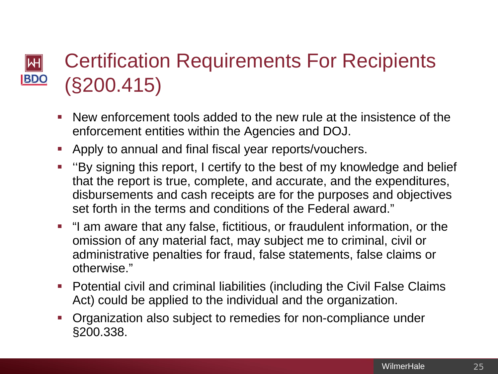#### Certification Requirements For Recipients Μ **BDO** (§200.415)

- New enforcement tools added to the new rule at the insistence of the enforcement entities within the Agencies and DOJ.
- Apply to annual and final fiscal year reports/vouchers.
- ''By signing this report, I certify to the best of my knowledge and belief that the report is true, complete, and accurate, and the expenditures, disbursements and cash receipts are for the purposes and objectives set forth in the terms and conditions of the Federal award."
- "I am aware that any false, fictitious, or fraudulent information, or the omission of any material fact, may subject me to criminal, civil or administrative penalties for fraud, false statements, false claims or otherwise."
- **Potential civil and criminal liabilities (including the Civil False Claims** Act) could be applied to the individual and the organization.
- Organization also subject to remedies for non-compliance under §200.338.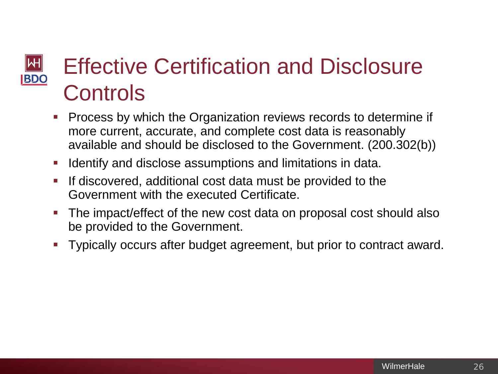### Effective Certification and Disclosure ∣WH **BDO Controls**

- **Process by which the Organization reviews records to determine if** more current, accurate, and complete cost data is reasonably available and should be disclosed to the Government. (200.302(b))
- Identify and disclose assumptions and limitations in data.
- **If discovered, additional cost data must be provided to the** Government with the executed Certificate.
- The impact/effect of the new cost data on proposal cost should also be provided to the Government.
- Typically occurs after budget agreement, but prior to contract award.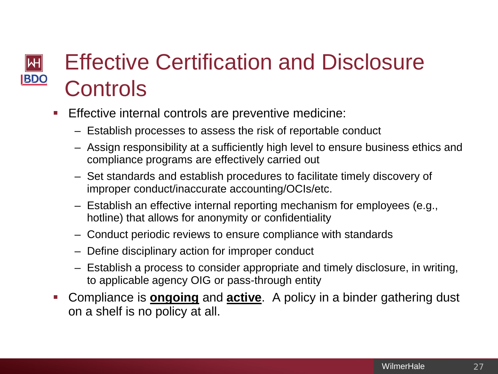### Effective Certification and Disclosure ∣₩ **BDO Controls**

- Effective internal controls are preventive medicine:
	- Establish processes to assess the risk of reportable conduct
	- Assign responsibility at a sufficiently high level to ensure business ethics and compliance programs are effectively carried out
	- Set standards and establish procedures to facilitate timely discovery of improper conduct/inaccurate accounting/OCIs/etc.
	- Establish an effective internal reporting mechanism for employees (e.g., hotline) that allows for anonymity or confidentiality
	- Conduct periodic reviews to ensure compliance with standards
	- Define disciplinary action for improper conduct
	- Establish a process to consider appropriate and timely disclosure, in writing, to applicable agency OIG or pass-through entity
- Compliance is **ongoing** and **active**. A policy in a binder gathering dust on a shelf is no policy at all.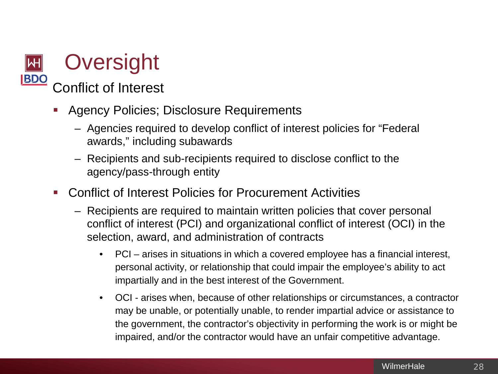### **Oversight BDO** Conflict of Interest

- Agency Policies; Disclosure Requirements
	- Agencies required to develop conflict of interest policies for "Federal awards," including subawards
	- Recipients and sub-recipients required to disclose conflict to the agency/pass-through entity
- Conflict of Interest Policies for Procurement Activities
	- Recipients are required to maintain written policies that cover personal conflict of interest (PCI) and organizational conflict of interest (OCI) in the selection, award, and administration of contracts
		- PCI arises in situations in which a covered employee has a financial interest, personal activity, or relationship that could impair the employee's ability to act impartially and in the best interest of the Government.
		- OCI arises when, because of other relationships or circumstances, a contractor may be unable, or potentially unable, to render impartial advice or assistance to the government, the contractor's objectivity in performing the work is or might be impaired, and/or the contractor would have an unfair competitive advantage.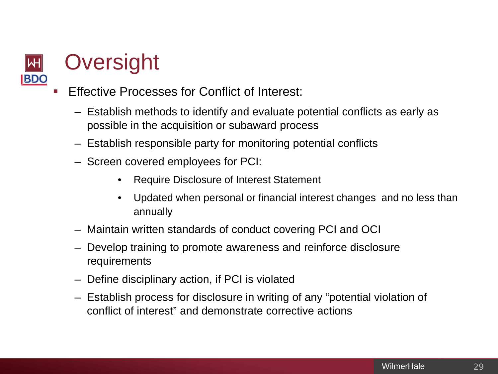

# **Oversight**

- Effective Processes for Conflict of Interest:
	- Establish methods to identify and evaluate potential conflicts as early as possible in the acquisition or subaward process
	- Establish responsible party for monitoring potential conflicts
	- Screen covered employees for PCI:
		- Require Disclosure of Interest Statement
		- Updated when personal or financial interest changes and no less than annually
	- Maintain written standards of conduct covering PCI and OCI
	- Develop training to promote awareness and reinforce disclosure requirements
	- Define disciplinary action, if PCI is violated
	- Establish process for disclosure in writing of any "potential violation of conflict of interest" and demonstrate corrective actions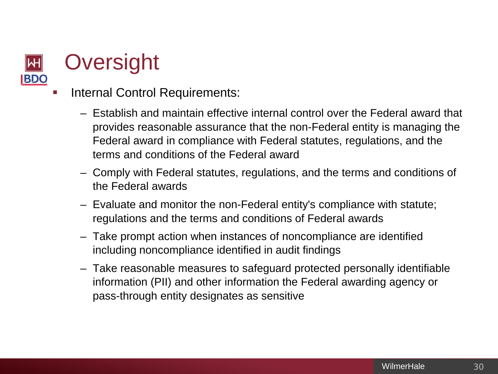

# **Oversight**

- Internal Control Requirements:
	- Establish and maintain effective internal control over the Federal award that provides reasonable assurance that the non-Federal entity is managing the Federal award in compliance with Federal statutes, regulations, and the terms and conditions of the Federal award
	- Comply with Federal statutes, regulations, and the terms and conditions of the Federal awards
	- Evaluate and monitor the non-Federal entity's compliance with statute; regulations and the terms and conditions of Federal awards
	- Take prompt action when instances of noncompliance are identified including noncompliance identified in audit findings
	- Take reasonable measures to safeguard protected personally identifiable information (PII) and other information the Federal awarding agency or pass-through entity designates as sensitive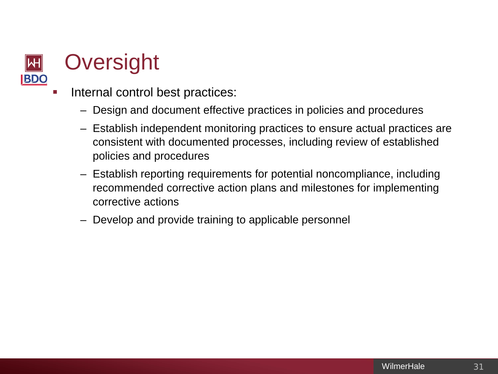

# **Oversight**

- Internal control best practices:
	- Design and document effective practices in policies and procedures
	- Establish independent monitoring practices to ensure actual practices are consistent with documented processes, including review of established policies and procedures
	- Establish reporting requirements for potential noncompliance, including recommended corrective action plans and milestones for implementing corrective actions
	- Develop and provide training to applicable personnel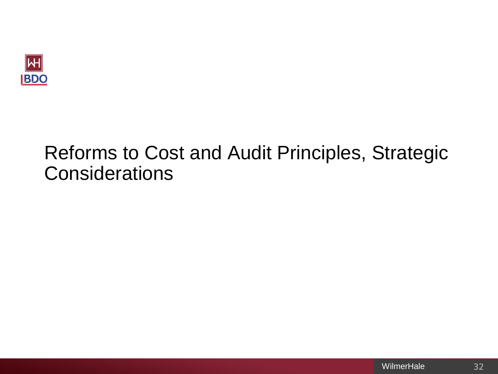

# Reforms to Cost and Audit Principles, Strategic **Considerations**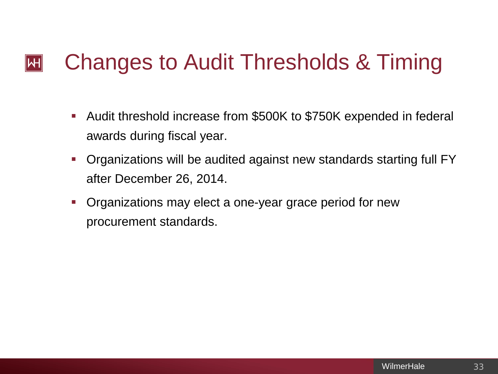#### Changes to Audit Thresholds & Timing $\left\Vert \mathsf{H}\right\Vert$

- Audit threshold increase from \$500K to \$750K expended in federal awards during fiscal year.
- Organizations will be audited against new standards starting full FY after December 26, 2014.
- Organizations may elect a one-year grace period for new procurement standards.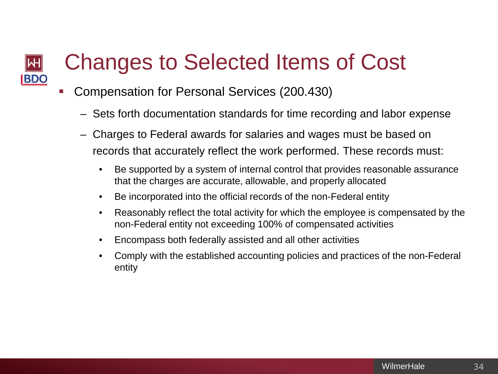#### Changes to Selected Items of Cost Μ **BDO**

- Compensation for Personal Services (200.430)
	- Sets forth documentation standards for time recording and labor expense
	- Charges to Federal awards for salaries and wages must be based on records that accurately reflect the work performed. These records must:
		- Be supported by a system of internal control that provides reasonable assurance that the charges are accurate, allowable, and properly allocated
		- Be incorporated into the official records of the non-Federal entity
		- Reasonably reflect the total activity for which the employee is compensated by the non-Federal entity not exceeding 100% of compensated activities
		- Encompass both federally assisted and all other activities
		- Comply with the established accounting policies and practices of the non-Federal entity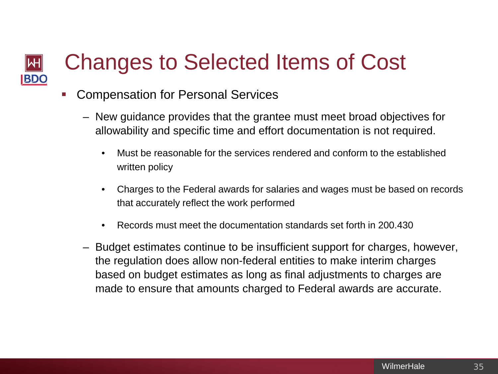#### Changes to Selected Items of Cost  $\left\Vert \mathsf{H}\right\Vert$ **BDO**

- **Compensation for Personal Services** 
	- New guidance provides that the grantee must meet broad objectives for allowability and specific time and effort documentation is not required.
		- Must be reasonable for the services rendered and conform to the established written policy
		- Charges to the Federal awards for salaries and wages must be based on records that accurately reflect the work performed
		- Records must meet the documentation standards set forth in 200.430
	- Budget estimates continue to be insufficient support for charges, however, the regulation does allow non-federal entities to make interim charges based on budget estimates as long as final adjustments to charges are made to ensure that amounts charged to Federal awards are accurate.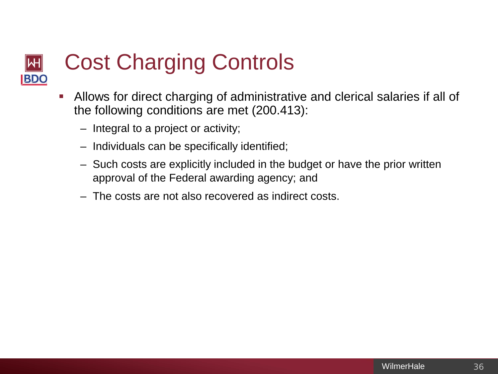#### Cost Charging Controls ⊮ **BDO**

- Allows for direct charging of administrative and clerical salaries if all of the following conditions are met (200.413):
	- Integral to a project or activity;
	- Individuals can be specifically identified;
	- Such costs are explicitly included in the budget or have the prior written approval of the Federal awarding agency; and
	- The costs are not also recovered as indirect costs.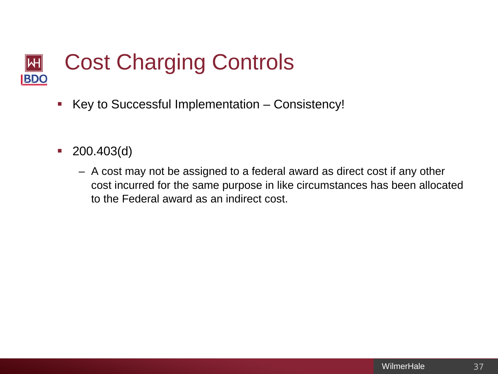#### Cost Charging Controls Μ **BDO**

- Key to Successful Implementation Consistency!
- $\blacksquare$  200.403(d)
	- A cost may not be assigned to a federal award as direct cost if any other cost incurred for the same purpose in like circumstances has been allocated to the Federal award as an indirect cost.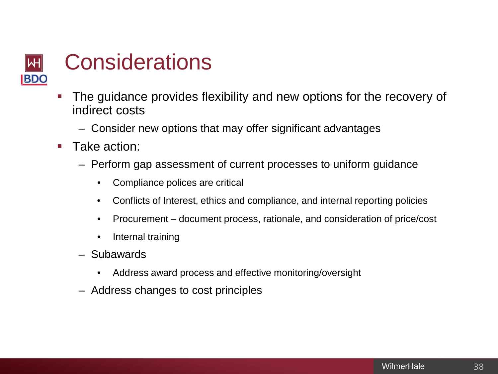

- The guidance provides flexibility and new options for the recovery of indirect costs
	- Consider new options that may offer significant advantages
- **Take action:** 
	- Perform gap assessment of current processes to uniform guidance
		- Compliance polices are critical
		- Conflicts of Interest, ethics and compliance, and internal reporting policies
		- Procurement document process, rationale, and consideration of price/cost
		- Internal training
	- Subawards
		- Address award process and effective monitoring/oversight
	- Address changes to cost principles